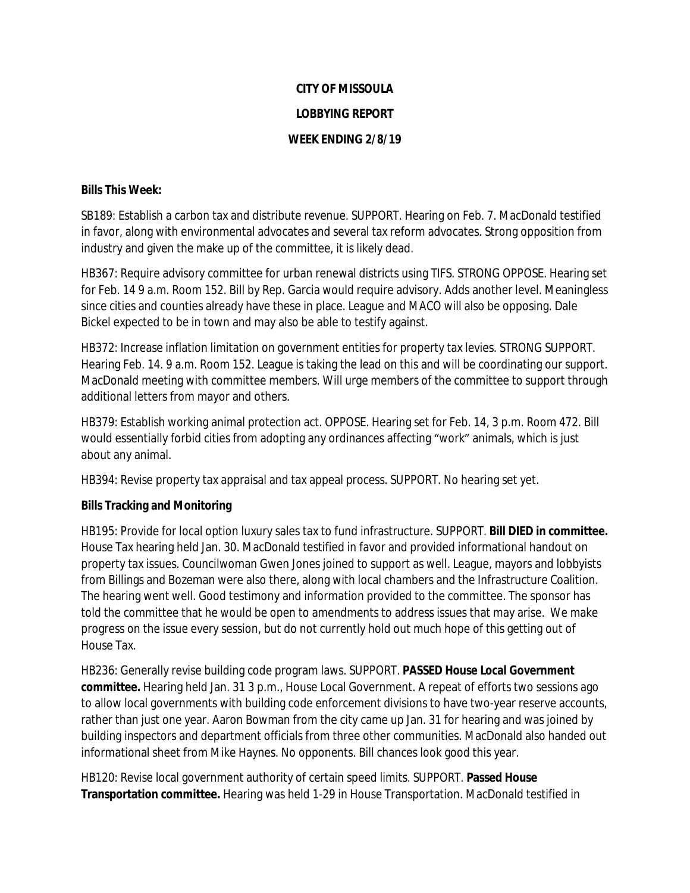## **CITY OF MISSOULA LOBBYING REPORT WEEK ENDING 2/8/19**

## **Bills This Week:**

SB189: Establish a carbon tax and distribute revenue. SUPPORT. Hearing on Feb. 7. MacDonald testified in favor, along with environmental advocates and several tax reform advocates. Strong opposition from industry and given the make up of the committee, it is likely dead.

HB367: Require advisory committee for urban renewal districts using TIFS. STRONG OPPOSE. Hearing set for Feb. 14 9 a.m. Room 152. Bill by Rep. Garcia would require advisory. Adds another level. Meaningless since cities and counties already have these in place. League and MACO will also be opposing. Dale Bickel expected to be in town and may also be able to testify against.

HB372: Increase inflation limitation on government entities for property tax levies. STRONG SUPPORT. Hearing Feb. 14. 9 a.m. Room 152. League is taking the lead on this and will be coordinating our support. MacDonald meeting with committee members. Will urge members of the committee to support through additional letters from mayor and others.

HB379: Establish working animal protection act. OPPOSE. Hearing set for Feb. 14, 3 p.m. Room 472. Bill would essentially forbid cities from adopting any ordinances affecting "work" animals, which is just about any animal.

HB394: Revise property tax appraisal and tax appeal process. SUPPORT. No hearing set yet.

## **Bills Tracking and Monitoring**

HB195: Provide for local option luxury sales tax to fund infrastructure. SUPPORT. **Bill DIED in committee.** House Tax hearing held Jan. 30. MacDonald testified in favor and provided informational handout on property tax issues. Councilwoman Gwen Jones joined to support as well. League, mayors and lobbyists from Billings and Bozeman were also there, along with local chambers and the Infrastructure Coalition. The hearing went well. Good testimony and information provided to the committee. The sponsor has told the committee that he would be open to amendments to address issues that may arise. We make progress on the issue every session, but do not currently hold out much hope of this getting out of House Tax.

HB236: Generally revise building code program laws. SUPPORT. **PASSED House Local Government committee.** Hearing held Jan. 31 3 p.m., House Local Government. A repeat of efforts two sessions ago to allow local governments with building code enforcement divisions to have two-year reserve accounts, rather than just one year. Aaron Bowman from the city came up Jan. 31 for hearing and was joined by building inspectors and department officials from three other communities. MacDonald also handed out informational sheet from Mike Haynes. No opponents. Bill chances look good this year.

HB120: Revise local government authority of certain speed limits. SUPPORT. **Passed House Transportation committee.** Hearing was held 1-29 in House Transportation. MacDonald testified in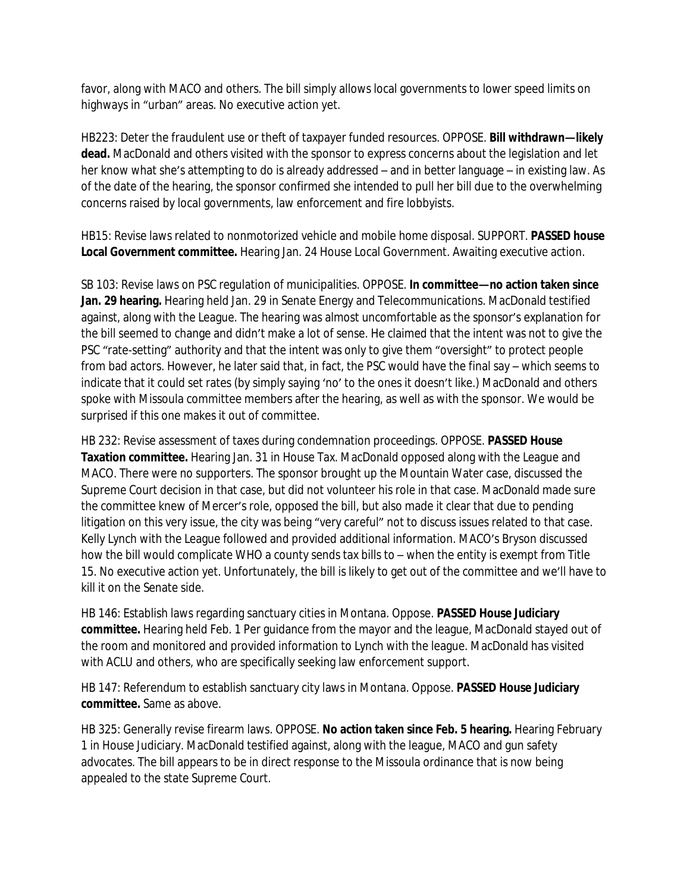favor, along with MACO and others. The bill simply allows local governments to lower speed limits on highways in "urban" areas. No executive action yet.

HB223: Deter the fraudulent use or theft of taxpayer funded resources. OPPOSE. **Bill withdrawn—likely dead.** MacDonald and others visited with the sponsor to express concerns about the legislation and let her know what she's attempting to do is already addressed – and in better language – in existing law. As of the date of the hearing, the sponsor confirmed she intended to pull her bill due to the overwhelming concerns raised by local governments, law enforcement and fire lobbyists.

HB15: Revise laws related to nonmotorized vehicle and mobile home disposal. SUPPORT. **PASSED house Local Government committee.** Hearing Jan. 24 House Local Government. Awaiting executive action.

SB 103: Revise laws on PSC regulation of municipalities. OPPOSE. **In committee—no action taken since Jan. 29 hearing.** Hearing held Jan. 29 in Senate Energy and Telecommunications. MacDonald testified against, along with the League. The hearing was almost uncomfortable as the sponsor's explanation for the bill seemed to change and didn't make a lot of sense. He claimed that the intent was not to give the PSC "rate-setting" authority and that the intent was only to give them "oversight" to protect people from bad actors. However, he later said that, in fact, the PSC would have the final say – which seems to indicate that it could set rates (by simply saying 'no' to the ones it doesn't like.) MacDonald and others spoke with Missoula committee members after the hearing, as well as with the sponsor. We would be surprised if this one makes it out of committee.

HB 232: Revise assessment of taxes during condemnation proceedings. OPPOSE. **PASSED House Taxation committee.** Hearing Jan. 31 in House Tax. MacDonald opposed along with the League and MACO. There were no supporters. The sponsor brought up the Mountain Water case, discussed the Supreme Court decision in that case, but did not volunteer his role in that case. MacDonald made sure the committee knew of Mercer's role, opposed the bill, but also made it clear that due to pending litigation on this very issue, the city was being "very careful" not to discuss issues related to that case. Kelly Lynch with the League followed and provided additional information. MACO's Bryson discussed how the bill would complicate WHO a county sends tax bills to – when the entity is exempt from Title 15. No executive action yet. Unfortunately, the bill is likely to get out of the committee and we'll have to kill it on the Senate side.

HB 146: Establish laws regarding sanctuary cities in Montana. Oppose. **PASSED House Judiciary committee.** Hearing held Feb. 1 Per guidance from the mayor and the league, MacDonald stayed out of the room and monitored and provided information to Lynch with the league. MacDonald has visited with ACLU and others, who are specifically seeking law enforcement support.

HB 147: Referendum to establish sanctuary city laws in Montana. Oppose. **PASSED House Judiciary committee.** Same as above.

HB 325: Generally revise firearm laws. OPPOSE. **No action taken since Feb. 5 hearing.** Hearing February 1 in House Judiciary. MacDonald testified against, along with the league, MACO and gun safety advocates. The bill appears to be in direct response to the Missoula ordinance that is now being appealed to the state Supreme Court.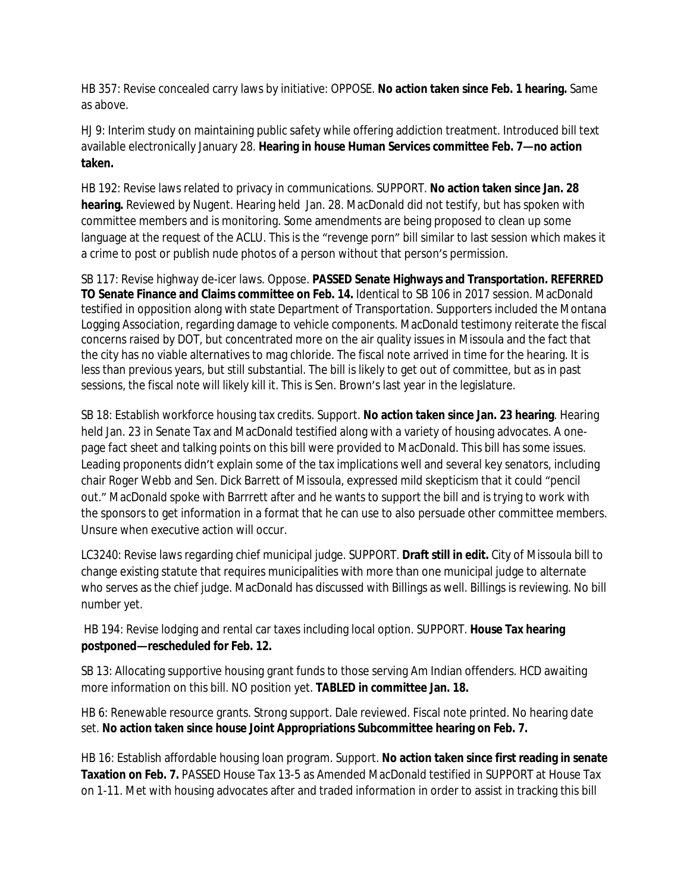HB 357: Revise concealed carry laws by initiative: OPPOSE. **No action taken since Feb. 1 hearing.** Same as above.

HJ 9: Interim study on maintaining public safety while offering addiction treatment. Introduced bill text available electronically January 28. **Hearing in house Human Services committee Feb. 7—no action taken.**

HB 192: Revise laws related to privacy in communications. SUPPORT. **No action taken since Jan. 28 hearing.** Reviewed by Nugent. Hearing held Jan. 28. MacDonald did not testify, but has spoken with committee members and is monitoring. Some amendments are being proposed to clean up some language at the request of the ACLU. This is the "revenge porn" bill similar to last session which makes it a crime to post or publish nude photos of a person without that person's permission.

SB 117: Revise highway de-icer laws. Oppose. **PASSED Senate Highways and Transportation. REFERRED TO Senate Finance and Claims committee on Feb. 14.** Identical to SB 106 in 2017 session. MacDonald testified in opposition along with state Department of Transportation. Supporters included the Montana Logging Association, regarding damage to vehicle components. MacDonald testimony reiterate the fiscal concerns raised by DOT, but concentrated more on the air quality issues in Missoula and the fact that the city has no viable alternatives to mag chloride. The fiscal note arrived in time for the hearing. It is less than previous years, but still substantial. The bill is likely to get out of committee, but as in past sessions, the fiscal note will likely kill it. This is Sen. Brown's last year in the legislature.

SB 18: Establish workforce housing tax credits. Support. **No action taken since Jan. 23 hearing**. Hearing held Jan. 23 in Senate Tax and MacDonald testified along with a variety of housing advocates. A onepage fact sheet and talking points on this bill were provided to MacDonald. This bill has some issues. Leading proponents didn't explain some of the tax implications well and several key senators, including chair Roger Webb and Sen. Dick Barrett of Missoula, expressed mild skepticism that it could "pencil out." MacDonald spoke with Barrrett after and he wants to support the bill and is trying to work with the sponsors to get information in a format that he can use to also persuade other committee members. Unsure when executive action will occur.

LC3240: Revise laws regarding chief municipal judge. SUPPORT. **Draft still in edit.** City of Missoula bill to change existing statute that requires municipalities with more than one municipal judge to alternate who serves as the chief judge. MacDonald has discussed with Billings as well. Billings is reviewing. No bill number yet.

 HB 194: Revise lodging and rental car taxes including local option. SUPPORT. **House Tax hearing postponed—rescheduled for Feb. 12.**

SB 13: Allocating supportive housing grant funds to those serving Am Indian offenders. HCD awaiting more information on this bill. NO position yet. **TABLED in committee Jan. 18.**

HB 6: Renewable resource grants. Strong support. Dale reviewed. Fiscal note printed. No hearing date set. **No action taken since house Joint Appropriations Subcommittee hearing on Feb. 7.**

HB 16: Establish affordable housing loan program. Support. **No action taken since first reading in senate Taxation on Feb. 7.** PASSED House Tax 13-5 as Amended MacDonald testified in SUPPORT at House Tax on 1-11. Met with housing advocates after and traded information in order to assist in tracking this bill